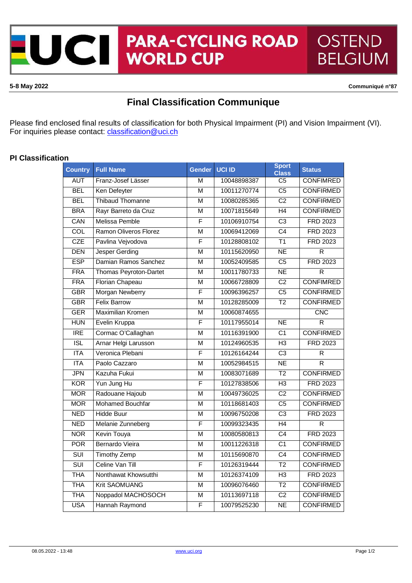

**5-8 May 2022 Communiqué n°87**

## **Final Classification Communique**

Please find enclosed final results of classification for both Physical Impairment (PI) and Vision Impairment (VI). For inquiries please contact: *[classification@uci.ch](mailto:classification@uci.ch)* 

## **PI Classification**

| <b>Country</b>          | <b>Full Name</b>         | <b>Gender</b>           | <b>UCI ID</b> | <b>Sport</b><br><b>Class</b> | <b>Status</b>           |
|-------------------------|--------------------------|-------------------------|---------------|------------------------------|-------------------------|
| <b>AUT</b>              | Franz-Josef Lässer       | M                       | 10048898387   | $\overline{\text{C5}}$       | <b>CONFIMRED</b>        |
| <b>BEL</b>              | Ken Defeyter             | $\overline{\mathsf{M}}$ | 10011270774   | $\overline{C5}$              | <b>CONFIRMED</b>        |
| <b>BEL</b>              | <b>Thibaud Thomanne</b>  | М                       | 10080285365   | $\overline{C2}$              | <b>CONFIRMED</b>        |
| <b>BRA</b>              | Rayr Barreto da Cruz     | $\overline{\mathsf{M}}$ | 10071815649   | H4                           | <b>CONFIRMED</b>        |
| CAN                     | Melissa Pemble           | F                       | 10106910754   | C <sub>3</sub>               | <b>FRD 2023</b>         |
| COL                     | Ramon Oliveros Florez    | M                       | 10069412069   | $\overline{C4}$              | <b>FRD 2023</b>         |
| CZE                     | Pavlina Vejvodova        | F                       | 10128808102   | $\overline{T1}$              | <b>FRD 2023</b>         |
| <b>DEN</b>              | <b>Jesper Gerding</b>    | $\overline{M}$          | 10115620950   | NE                           | R                       |
| <b>ESP</b>              | Damian Ramos Sanchez     | M                       | 10052409585   | $\overline{C5}$              | <b>FRD 2023</b>         |
| <b>FRA</b>              | Thomas Peyroton-Dartet   | $\overline{\mathsf{M}}$ | 10011780733   | $\overline{\sf NE}$          | $\overline{\mathsf{R}}$ |
| <b>FRA</b>              | Florian Chapeau          | $\overline{\mathsf{M}}$ | 10066728809   | $\overline{C2}$              | <b>CONFIMRED</b>        |
| <b>GBR</b>              | Morgan Newberry          | F                       | 10096396257   | $\overline{C5}$              | <b>CONFIRMED</b>        |
| <b>GBR</b>              | <b>Felix Barrow</b>      | $\overline{\mathsf{M}}$ | 10128285009   | $\overline{12}$              | <b>CONFIRMED</b>        |
| <b>GER</b>              | <b>Maximilian Kromen</b> | $\overline{\mathsf{M}}$ | 10060874655   |                              | CNC                     |
| <b>HUN</b>              | Evelin Kruppa            | F                       | 10117955014   | NE                           | R                       |
| <b>IRE</b>              | Cormac O'Callaghan       | $\overline{\mathsf{M}}$ | 10116391900   | $\overline{C1}$              | <b>CONFIRMED</b>        |
| ISL                     | Arnar Helgi Larusson     | $\overline{\mathsf{M}}$ | 10124960535   | H <sub>3</sub>               | <b>FRD 2023</b>         |
| <b>ITA</b>              | Veronica Plebani         | F                       | 10126164244   | $\overline{C3}$              | $\overline{\mathsf{R}}$ |
| <b>ITA</b>              | Paolo Cazzaro            | $\overline{\mathsf{M}}$ | 10052984515   | $\overline{\sf NE}$          | $\overline{\mathsf{R}}$ |
| <b>JPN</b>              | Kazuha Fukui             | $\overline{\mathsf{M}}$ | 10083071689   | $\overline{12}$              | <b>CONFIRMED</b>        |
| <b>KOR</b>              | Yun Jung Hu              | F                       | 10127838506   | H <sub>3</sub>               | <b>FRD 2023</b>         |
| <b>MOR</b>              | Radouane Hajoub          | $\overline{\mathsf{M}}$ | 10049736025   | $\overline{C2}$              | <b>CONFIRMED</b>        |
| <b>MOR</b>              | <b>Mohamed Bouchfar</b>  | M                       | 10118681403   | $\overline{C5}$              | <b>CONFIRMED</b>        |
| <b>NED</b>              | Hidde Buur               | $\overline{\mathsf{M}}$ | 10096750208   | $\overline{C3}$              | <b>FRD 2023</b>         |
| <b>NED</b>              | Melanie Zunneberg        | F                       | 10099323435   | H4                           | $\overline{R}$          |
| <b>NOR</b>              | <b>Kevin Touya</b>       | M                       | 10080580813   | $\overline{C4}$              | <b>FRD 2023</b>         |
| <b>POR</b>              | Bernardo Vieira          | $\overline{\mathsf{M}}$ | 10011226318   | C <sub>1</sub>               | <b>CONFIRMED</b>        |
| $\overline{\text{SUI}}$ | <b>Timothy Zemp</b>      | $\overline{\mathsf{M}}$ | 10115690870   | $\overline{C4}$              | <b>CONFIRMED</b>        |
| SUI                     | Celine Van Till          | $\overline{\mathsf{F}}$ | 10126319444   | $\overline{12}$              | <b>CONFIRMED</b>        |
| <b>THA</b>              | Nonthawat Khowsutthi     | M                       | 10126374109   | $\overline{H}$               | <b>FRD 2023</b>         |
| <b>THA</b>              | <b>Krit SAOMUANG</b>     | $\overline{\mathsf{M}}$ | 10096076460   | T2                           | <b>CONFIRMED</b>        |
| <b>THA</b>              | Noppadol MACHOSOCH       | M                       | 10113697118   | C <sub>2</sub>               | <b>CONFIRMED</b>        |
| <b>USA</b>              | Hannah Raymond           | F                       | 10079525230   | NE                           | <b>CONFIRMED</b>        |